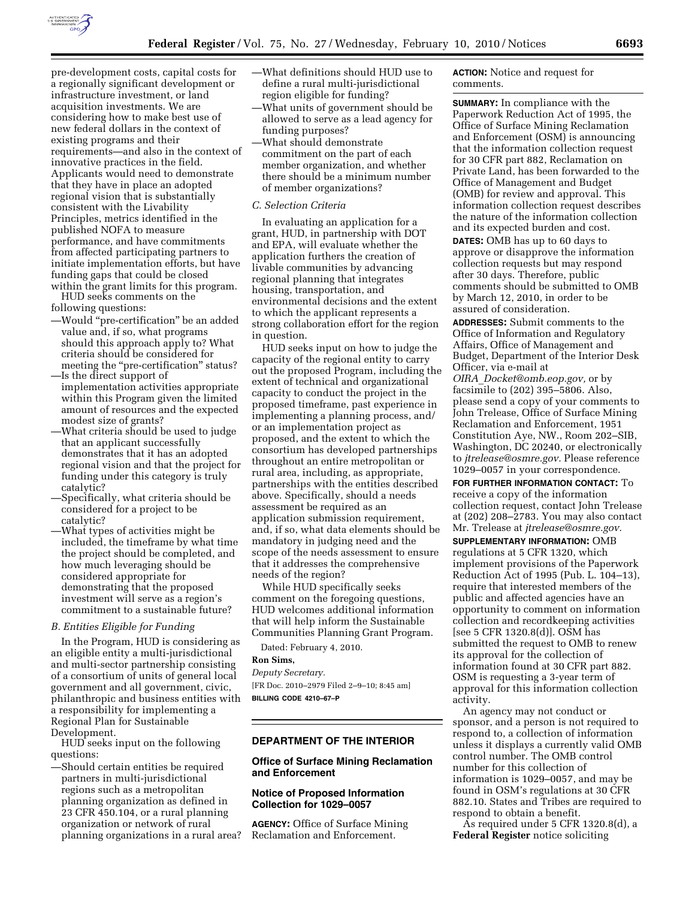

pre-development costs, capital costs for a regionally significant development or infrastructure investment, or land acquisition investments. We are considering how to make best use of new federal dollars in the context of existing programs and their requirements—and also in the context of innovative practices in the field. Applicants would need to demonstrate that they have in place an adopted regional vision that is substantially consistent with the Livability Principles, metrics identified in the published NOFA to measure performance, and have commitments from affected participating partners to initiate implementation efforts, but have funding gaps that could be closed within the grant limits for this program.

HUD seeks comments on the following questions:

- —Would ''pre-certification'' be an added value and, if so, what programs should this approach apply to? What criteria should be considered for meeting the "pre-certification" status? —Is the direct support of
- implementation activities appropriate within this Program given the limited amount of resources and the expected modest size of grants?
- —What criteria should be used to judge that an applicant successfully demonstrates that it has an adopted regional vision and that the project for funding under this category is truly catalytic?
- —Specifically, what criteria should be considered for a project to be catalytic?
- —What types of activities might be included, the timeframe by what time the project should be completed, and how much leveraging should be considered appropriate for demonstrating that the proposed investment will serve as a region's commitment to a sustainable future?

#### *B. Entities Eligible for Funding*

In the Program, HUD is considering as an eligible entity a multi-jurisdictional and multi-sector partnership consisting of a consortium of units of general local government and all government, civic, philanthropic and business entities with a responsibility for implementing a Regional Plan for Sustainable Development.

HUD seeks input on the following questions:

—Should certain entities be required partners in multi-jurisdictional regions such as a metropolitan planning organization as defined in 23 CFR 450.104, or a rural planning organization or network of rural planning organizations in a rural area?

- —What definitions should HUD use to define a rural multi-jurisdictional region eligible for funding?
- —What units of government should be allowed to serve as a lead agency for funding purposes?
- —What should demonstrate commitment on the part of each member organization, and whether there should be a minimum number of member organizations?

#### *C. Selection Criteria*

In evaluating an application for a grant, HUD, in partnership with DOT and EPA, will evaluate whether the application furthers the creation of livable communities by advancing regional planning that integrates housing, transportation, and environmental decisions and the extent to which the applicant represents a strong collaboration effort for the region in question.

HUD seeks input on how to judge the capacity of the regional entity to carry out the proposed Program, including the extent of technical and organizational capacity to conduct the project in the proposed timeframe, past experience in implementing a planning process, and/ or an implementation project as proposed, and the extent to which the consortium has developed partnerships throughout an entire metropolitan or rural area, including, as appropriate, partnerships with the entities described above. Specifically, should a needs assessment be required as an application submission requirement, and, if so, what data elements should be mandatory in judging need and the scope of the needs assessment to ensure that it addresses the comprehensive needs of the region?

While HUD specifically seeks comment on the foregoing questions, HUD welcomes additional information that will help inform the Sustainable Communities Planning Grant Program.

Dated: February 4, 2010.

### **Ron Sims,**

*Deputy Secretary.*  [FR Doc. 2010–2979 Filed 2–9–10; 8:45 am] **BILLING CODE 4210–67–P** 

# **DEPARTMENT OF THE INTERIOR**

## **Office of Surface Mining Reclamation and Enforcement**

# **Notice of Proposed Information Collection for 1029–0057**

**AGENCY:** Office of Surface Mining Reclamation and Enforcement.

**ACTION:** Notice and request for comments.

**SUMMARY:** In compliance with the Paperwork Reduction Act of 1995, the Office of Surface Mining Reclamation and Enforcement (OSM) is announcing that the information collection request for 30 CFR part 882, Reclamation on Private Land, has been forwarded to the Office of Management and Budget (OMB) for review and approval. This information collection request describes the nature of the information collection and its expected burden and cost. **DATES:** OMB has up to 60 days to approve or disapprove the information collection requests but may respond after 30 days. Therefore, public comments should be submitted to OMB by March 12, 2010, in order to be assured of consideration.

**ADDRESSES:** Submit comments to the Office of Information and Regulatory Affairs, Office of Management and Budget, Department of the Interior Desk Officer, via e-mail at *OIRA*\_*Docket@omb.eop.gov,* or by facsimile to (202) 395–5806. Also, please send a copy of your comments to John Trelease, Office of Surface Mining

Reclamation and Enforcement, 1951 Constitution Aye, NW., Room 202–SIB, Washington, DC 20240, or electronically to *jtrelease@osmre.gov.* Please reference 1029–0057 in your correspondence.

**FOR FURTHER INFORMATION CONTACT:** To receive a copy of the information collection request, contact John Trelease at (202) 208–2783. You may also contact Mr. Trelease at *jtrelease@osmre.gov.* 

**SUPPLEMENTARY INFORMATION:** OMB regulations at 5 CFR 1320, which implement provisions of the Paperwork Reduction Act of 1995 (Pub. L. 104–13), require that interested members of the public and affected agencies have an opportunity to comment on information collection and recordkeeping activities [see 5 CFR 1320.8(d)]. OSM has submitted the request to OMB to renew its approval for the collection of information found at 30 CFR part 882. OSM is requesting a 3-year term of approval for this information collection activity.

An agency may not conduct or sponsor, and a person is not required to respond to, a collection of information unless it displays a currently valid OMB control number. The OMB control number for this collection of information is 1029–0057, and may be found in OSM's regulations at 30 CFR 882.10. States and Tribes are required to respond to obtain a benefit.

As required under 5 CFR 1320.8(d), a **Federal Register** notice soliciting